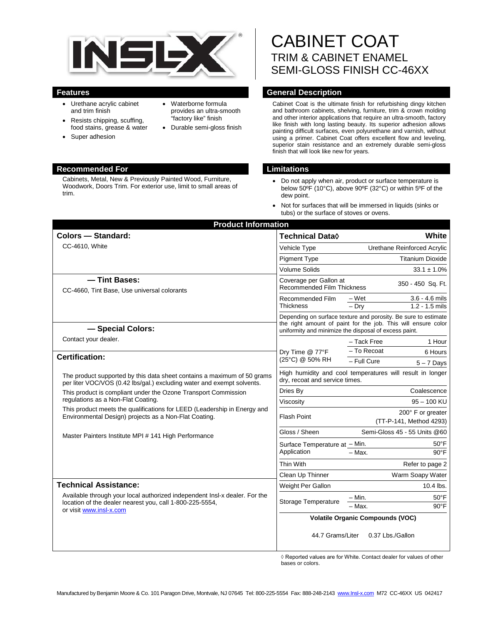

• Waterborne formula provides an ultra-smooth "factory like" finish • Durable semi-gloss finish

- Urethane acrylic cabinet and trim finish
- Resists chipping, scuffing, food stains, grease & water
- Super adhesion
- **Recommended For Limitations**

Cabinets, Metal, New & Previously Painted Wood, Furniture, Woodwork, Doors Trim. For exterior use, limit to small areas of trim.

CABINET COAT TRIM & CABINET ENAMEL SEMI-GLOSS FINISH CC-46XX

### **Features General Description**

Cabinet Coat is the ultimate finish for refurbishing dingy kitchen and bathroom cabinets, shelving, furniture, trim & crown molding and other interior applications that require an ultra-smooth, factory like finish with long lasting beauty. Its superior adhesion allows painting difficult surfaces, even polyurethane and varnish, without using a primer. Cabinet Coat offers excellent flow and leveling, superior stain resistance and an extremely durable semi-gloss finish that will look like new for years.

- Do not apply when air, product or surface temperature is below 50ºF (10°C), above 90ºF (32°C) or within 5ºF of the dew point.
- Not for surfaces that will be immersed in liquids (sinks or tubs) or the surface of stoves or ovens.

| <b>Colors - Standard:</b>                                                                                                                                         | Technical Data◊                                                                                                                                                                          | White                                                    |
|-------------------------------------------------------------------------------------------------------------------------------------------------------------------|------------------------------------------------------------------------------------------------------------------------------------------------------------------------------------------|----------------------------------------------------------|
| CC-4610, White                                                                                                                                                    | Vehicle Type                                                                                                                                                                             | Urethane Reinforced Acrylic                              |
|                                                                                                                                                                   | <b>Pigment Type</b>                                                                                                                                                                      | <b>Titanium Dioxide</b>                                  |
|                                                                                                                                                                   | <b>Volume Solids</b>                                                                                                                                                                     | $33.1 \pm 1.0\%$                                         |
| - Tint Bases:<br>CC-4660, Tint Base, Use universal colorants                                                                                                      | Coverage per Gallon at<br><b>Recommended Film Thickness</b>                                                                                                                              | 350 - 450 Sq. Ft.                                        |
|                                                                                                                                                                   | Recommended Film<br>Thickness                                                                                                                                                            | $3.6 - 4.6$ mils<br>– Wet<br>$-$ Drv<br>$1.2 - 1.5$ mils |
| - Special Colors:                                                                                                                                                 | Depending on surface texture and porosity. Be sure to estimate<br>the right amount of paint for the job. This will ensure color<br>uniformity and minimize the disposal of excess paint. |                                                          |
| Contact your dealer.                                                                                                                                              | Dry Time @ 77°F<br>(25°C) @ 50% RH                                                                                                                                                       | 1 Hour<br>- Tack Free                                    |
| <b>Certification:</b>                                                                                                                                             |                                                                                                                                                                                          | - To Recoat<br>6 Hours                                   |
|                                                                                                                                                                   |                                                                                                                                                                                          | - Full Cure<br>$5 - 7$ Days                              |
| The product supported by this data sheet contains a maximum of 50 grams<br>per liter VOC/VOS (0.42 lbs/gal.) excluding water and exempt solvents.                 | High humidity and cool temperatures will result in longer<br>dry, recoat and service times.                                                                                              |                                                          |
| This product is compliant under the Ozone Transport Commission<br>regulations as a Non-Flat Coating.                                                              | Dries By                                                                                                                                                                                 | Coalescence                                              |
|                                                                                                                                                                   | Viscosity                                                                                                                                                                                | $95 - 100$ KU                                            |
| This product meets the qualifications for LEED (Leadership in Energy and<br>Environmental Design) projects as a Non-Flat Coating.                                 | <b>Flash Point</b>                                                                                                                                                                       | 200° F or greater<br>(TT-P-141, Method 4293)             |
| Master Painters Institute MPI # 141 High Performance                                                                                                              | Gloss / Sheen                                                                                                                                                                            | Semi-Gloss 45 - 55 Units @60                             |
|                                                                                                                                                                   | Surface Temperature at - Min.                                                                                                                                                            | $50^{\circ}$ F                                           |
|                                                                                                                                                                   | Application                                                                                                                                                                              | $90^{\circ}$ F<br>- Max.                                 |
|                                                                                                                                                                   | Thin With                                                                                                                                                                                | Refer to page 2                                          |
|                                                                                                                                                                   | Clean Up Thinner                                                                                                                                                                         | Warm Soapy Water                                         |
| <b>Technical Assistance:</b>                                                                                                                                      | Weight Per Gallon                                                                                                                                                                        | 10.4 lbs.                                                |
| Available through your local authorized independent Insl-x dealer. For the<br>location of the dealer nearest you, call 1-800-225-5554,<br>or visit www.insl-x.com | Storage Temperature                                                                                                                                                                      | $-$ Min.<br>$50^{\circ}$ F<br>$90^{\circ}$ F<br>- Max.   |
|                                                                                                                                                                   | <b>Volatile Organic Compounds (VOC)</b>                                                                                                                                                  |                                                          |
|                                                                                                                                                                   | 44.7 Grams/Liter                                                                                                                                                                         | 0.37 Lbs./Gallon                                         |

◊ Reported values are for White. Contact dealer for values of other bases or colors.